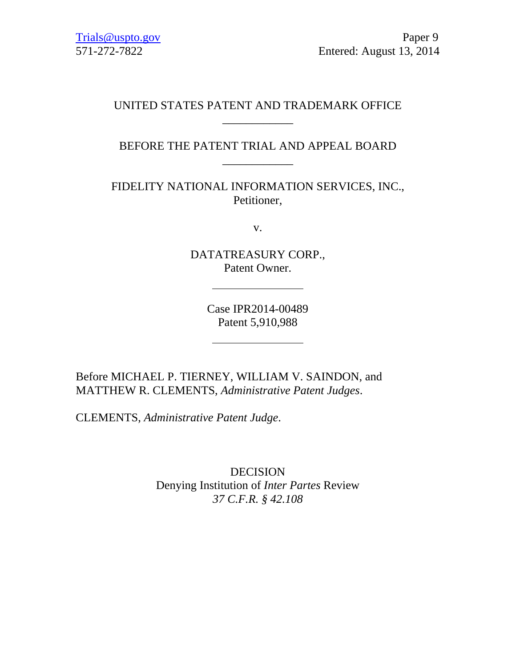# UNITED STATES PATENT AND TRADEMARK OFFICE \_\_\_\_\_\_\_\_\_\_\_\_

# BEFORE THE PATENT TRIAL AND APPEAL BOARD \_\_\_\_\_\_\_\_\_\_\_\_

FIDELITY NATIONAL INFORMATION SERVICES, INC., Petitioner,

v.

DATATREASURY CORP., Patent Owner.

> Case IPR2014-00489 Patent 5,910,988

Before MICHAEL P. TIERNEY, WILLIAM V. SAINDON, and MATTHEW R. CLEMENTS, *Administrative Patent Judges*.

CLEMENTS, *Administrative Patent Judge*.

DECISION Denying Institution of *Inter Partes* Review *37 C.F.R. § 42.108*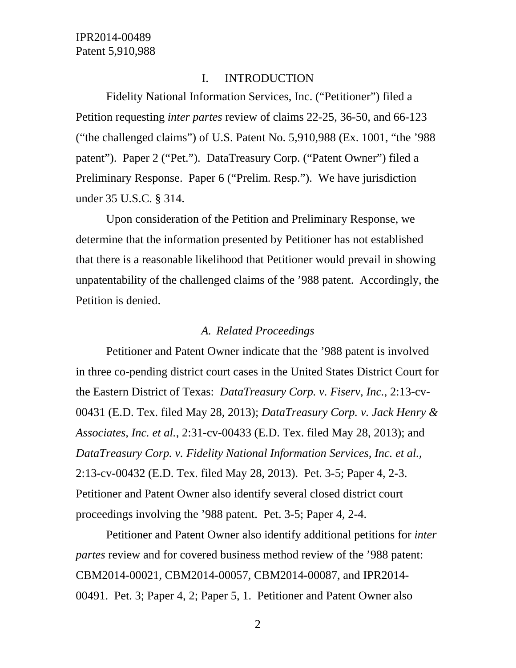### I. INTRODUCTION

Fidelity National Information Services, Inc. ("Petitioner") filed a Petition requesting *inter partes* review of claims 22-25, 36-50, and 66-123 ("the challenged claims") of U.S. Patent No. 5,910,988 (Ex. 1001, "the '988 patent"). Paper 2 ("Pet."). DataTreasury Corp. ("Patent Owner") filed a Preliminary Response. Paper 6 ("Prelim. Resp."). We have jurisdiction under 35 U.S.C. § 314.

Upon consideration of the Petition and Preliminary Response, we determine that the information presented by Petitioner has not established that there is a reasonable likelihood that Petitioner would prevail in showing unpatentability of the challenged claims of the '988 patent. Accordingly, the Petition is denied.

## *A. Related Proceedings*

Petitioner and Patent Owner indicate that the '988 patent is involved in three co-pending district court cases in the United States District Court for the Eastern District of Texas: *DataTreasury Corp. v. Fiserv, Inc.*, 2:13-cv-00431 (E.D. Tex. filed May 28, 2013); *DataTreasury Corp. v. Jack Henry & Associates, Inc. et al.*, 2:31-cv-00433 (E.D. Tex. filed May 28, 2013); and *DataTreasury Corp. v. Fidelity National Information Services, Inc. et al.*, 2:13-cv-00432 (E.D. Tex. filed May 28, 2013). Pet. 3-5; Paper 4, 2-3. Petitioner and Patent Owner also identify several closed district court proceedings involving the '988 patent. Pet. 3-5; Paper 4, 2-4.

Petitioner and Patent Owner also identify additional petitions for *inter partes* review and for covered business method review of the '988 patent: CBM2014-00021, CBM2014-00057, CBM2014-00087, and IPR2014- 00491. Pet. 3; Paper 4, 2; Paper 5, 1. Petitioner and Patent Owner also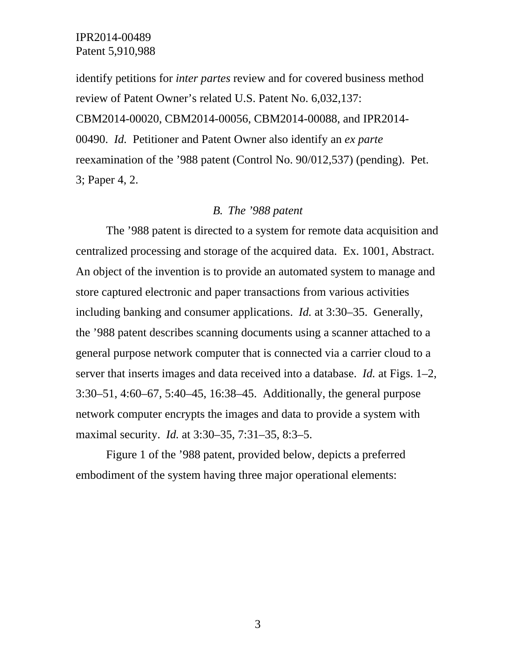identify petitions for *inter partes* review and for covered business method review of Patent Owner's related U.S. Patent No. 6,032,137: CBM2014-00020, CBM2014-00056, CBM2014-00088, and IPR2014- 00490. *Id.* Petitioner and Patent Owner also identify an *ex parte*  reexamination of the '988 patent (Control No. 90/012,537) (pending). Pet. 3; Paper 4, 2.

### *B. The '988 patent*

The '988 patent is directed to a system for remote data acquisition and centralized processing and storage of the acquired data. Ex. 1001, Abstract. An object of the invention is to provide an automated system to manage and store captured electronic and paper transactions from various activities including banking and consumer applications. *Id.* at 3:30–35. Generally, the '988 patent describes scanning documents using a scanner attached to a general purpose network computer that is connected via a carrier cloud to a server that inserts images and data received into a database. *Id.* at Figs. 1–2, 3:30–51, 4:60–67, 5:40–45, 16:38–45. Additionally, the general purpose network computer encrypts the images and data to provide a system with maximal security. *Id.* at 3:30–35, 7:31–35, 8:3–5.

Figure 1 of the '988 patent, provided below, depicts a preferred embodiment of the system having three major operational elements: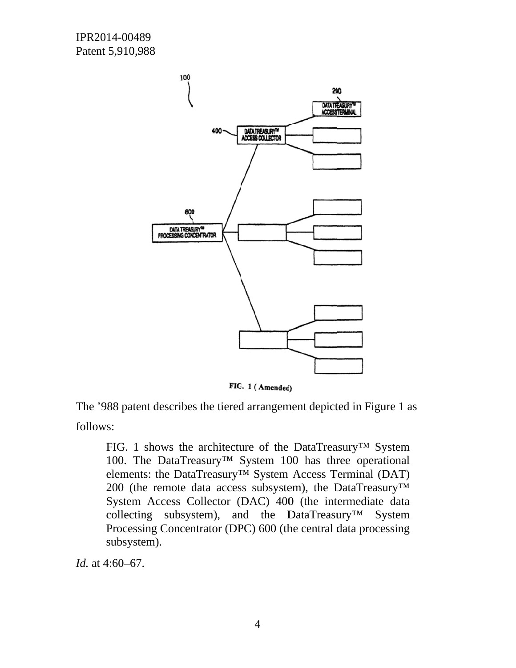

FIG. 1 (Amended)

The '988 patent describes the tiered arrangement depicted in Figure 1 as follows:

FIG. 1 shows the architecture of the DataTreasury<sup>TM</sup> System 100. The DataTreasury<sup>TM</sup> System 100 has three operational elements: the DataTreasury<sup>TM</sup> System Access Terminal (DAT) 200 (the remote data access subsystem), the DataTreasury<sup>™</sup> System Access Collector (DAC) 400 (the intermediate data collecting subsystem), and the DataTreasury<sup>TM</sup> System Processing Concentrator (DPC) 600 (the central data processing subsystem).

*Id.* at 4:60–67.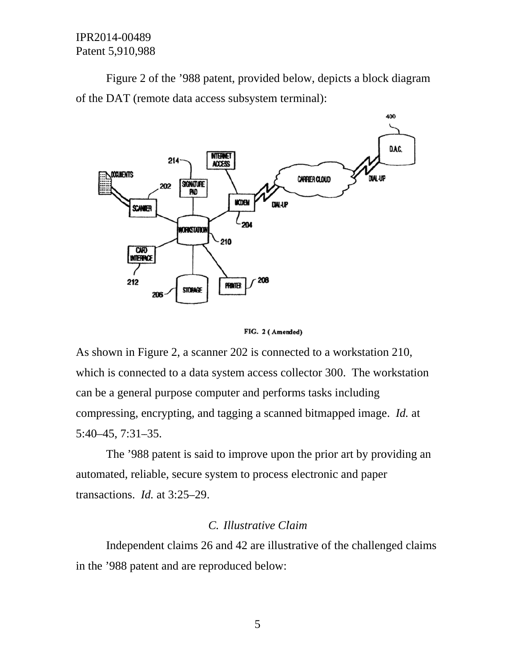IPR2014-00489 Patent 5,910,988

Figure 2 of the '988 patent, provided below, depicts a block diagram of the DAT (remote data access subsystem terminal):



FIG. 2 (Amended)

As shown in Figure 2, a scanner 202 is connected to a workstation 210, which is connected to a data system access collector 300. The workstation can be a general purpose computer and performs tasks including compressing, encrypting, and tagging a scanned bitmapped image. Id. at  $5:40-45, 7:31-35.$ 

The '988 patent is said to improve upon the prior art by providing an automated, reliable, secure system to process electronic and paper transactions. *Id.* at 3:25-29.

# C. Illustrative Claim

Independent claims 26 and 42 are illustrative of the challenged claims in the '988 patent and are reproduced below: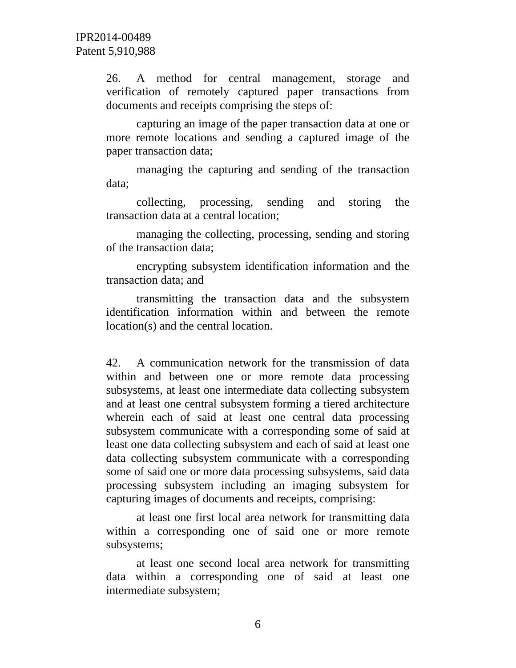26. A method for central management, storage and verification of remotely captured paper transactions from documents and receipts comprising the steps of:

capturing an image of the paper transaction data at one or more remote locations and sending a captured image of the paper transaction data;

managing the capturing and sending of the transaction data;

collecting, processing, sending and storing the transaction data at a central location;

managing the collecting, processing, sending and storing of the transaction data;

encrypting subsystem identification information and the transaction data; and

transmitting the transaction data and the subsystem identification information within and between the remote location(s) and the central location.

42. A communication network for the transmission of data within and between one or more remote data processing subsystems, at least one intermediate data collecting subsystem and at least one central subsystem forming a tiered architecture wherein each of said at least one central data processing subsystem communicate with a corresponding some of said at least one data collecting subsystem and each of said at least one data collecting subsystem communicate with a corresponding some of said one or more data processing subsystems, said data processing subsystem including an imaging subsystem for capturing images of documents and receipts, comprising:

at least one first local area network for transmitting data within a corresponding one of said one or more remote subsystems;

at least one second local area network for transmitting data within a corresponding one of said at least one intermediate subsystem;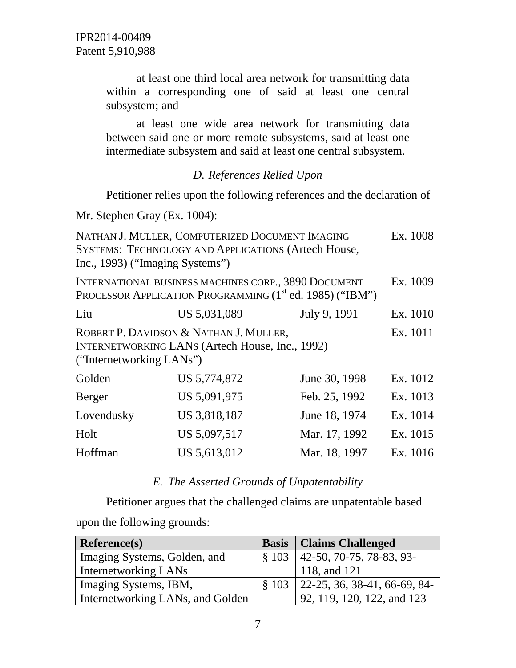at least one third local area network for transmitting data within a corresponding one of said at least one central subsystem; and

at least one wide area network for transmitting data between said one or more remote subsystems, said at least one intermediate subsystem and said at least one central subsystem.

# *D. References Relied Upon*

Petitioner relies upon the following references and the declaration of

Mr. Stephen Gray (Ex. 1004):

| NATHAN J. MULLER, COMPUTERIZED DOCUMENT IMAGING<br>SYSTEMS: TECHNOLOGY AND APPLICATIONS (Artech House,<br>Inc., 1993) ("Imaging Systems") |              |               |          |  |
|-------------------------------------------------------------------------------------------------------------------------------------------|--------------|---------------|----------|--|
| INTERNATIONAL BUSINESS MACHINES CORP., 3890 DOCUMENT<br>PROCESSOR APPLICATION PROGRAMMING (1 <sup>st</sup> ed. 1985) ("IBM")              |              |               |          |  |
| Liu                                                                                                                                       | US 5,031,089 | July 9, 1991  | Ex. 1010 |  |
| Ex. 1011<br>ROBERT P. DAVIDSON & NATHAN J. MULLER,<br><b>INTERNETWORKING LANS (Artech House, Inc., 1992)</b><br>("Internetworking LANs")  |              |               |          |  |
| Golden                                                                                                                                    | US 5,774,872 | June 30, 1998 | Ex. 1012 |  |
| <b>Berger</b>                                                                                                                             | US 5,091,975 | Feb. 25, 1992 | Ex. 1013 |  |
| Lovendusky                                                                                                                                | US 3,818,187 | June 18, 1974 | Ex. 1014 |  |
| Holt                                                                                                                                      | US 5,097,517 | Mar. 17, 1992 | Ex. 1015 |  |
| Hoffman                                                                                                                                   | US 5,613,012 | Mar. 18, 1997 | Ex. 1016 |  |

# *E. The Asserted Grounds of Unpatentability*

Petitioner argues that the challenged claims are unpatentable based

upon the following grounds:

| <b>Reference(s)</b>              |                   | <b>Basis</b>   Claims Challenged               |
|----------------------------------|-------------------|------------------------------------------------|
| Imaging Systems, Golden, and     |                   | $\vert$ § 103 $\vert$ 42-50, 70-75, 78-83, 93- |
| Internetworking LANs             |                   | 118, and 121                                   |
| Imaging Systems, IBM,            | $\frac{8}{9}$ 103 | $  22-25, 36, 38-41, 66-69, 84-$               |
| Internetworking LANs, and Golden |                   | 92, 119, 120, 122, and 123                     |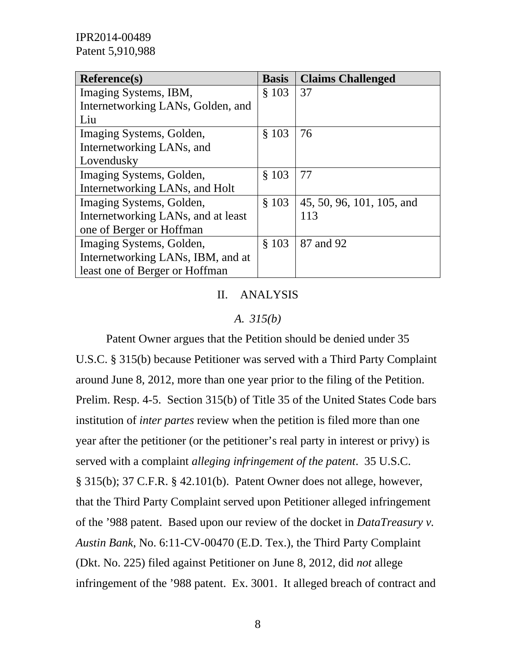IPR2014-00489 Patent 5,910,988

| <b>Reference(s)</b>                | <b>Basis</b> | <b>Claims Challenged</b>  |
|------------------------------------|--------------|---------------------------|
| Imaging Systems, IBM,              | \$103        | 37                        |
| Internetworking LANs, Golden, and  |              |                           |
| Liu                                |              |                           |
| Imaging Systems, Golden,           | \$103        | 76                        |
| Internetworking LANs, and          |              |                           |
| Lovendusky                         |              |                           |
| Imaging Systems, Golden,           | § 103        | 77                        |
| Internetworking LANs, and Holt     |              |                           |
| Imaging Systems, Golden,           | $§$ 103      | 45, 50, 96, 101, 105, and |
| Internetworking LANs, and at least |              | 113                       |
| one of Berger or Hoffman           |              |                           |
| Imaging Systems, Golden,           | \$103        | 87 and 92                 |
| Internetworking LANs, IBM, and at  |              |                           |
| least one of Berger or Hoffman     |              |                           |

#### II. ANALYSIS

#### *A. 315(b)*

Patent Owner argues that the Petition should be denied under 35 U.S.C. § 315(b) because Petitioner was served with a Third Party Complaint around June 8, 2012, more than one year prior to the filing of the Petition. Prelim. Resp. 4-5. Section 315(b) of Title 35 of the United States Code bars institution of *inter partes* review when the petition is filed more than one year after the petitioner (or the petitioner's real party in interest or privy) is served with a complaint *alleging infringement of the patent*. 35 U.S.C. § 315(b); 37 C.F.R. § 42.101(b). Patent Owner does not allege, however, that the Third Party Complaint served upon Petitioner alleged infringement of the '988 patent. Based upon our review of the docket in *DataTreasury v. Austin Bank*, No. 6:11-CV-00470 (E.D. Tex.), the Third Party Complaint (Dkt. No. 225) filed against Petitioner on June 8, 2012, did *not* allege infringement of the '988 patent. Ex. 3001. It alleged breach of contract and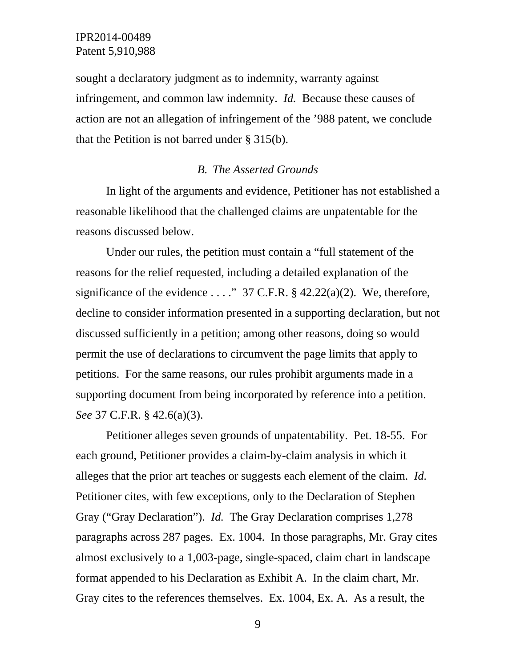sought a declaratory judgment as to indemnity, warranty against infringement, and common law indemnity. *Id.* Because these causes of action are not an allegation of infringement of the '988 patent, we conclude that the Petition is not barred under § 315(b).

### *B. The Asserted Grounds*

In light of the arguments and evidence, Petitioner has not established a reasonable likelihood that the challenged claims are unpatentable for the reasons discussed below.

Under our rules, the petition must contain a "full statement of the reasons for the relief requested, including a detailed explanation of the significance of the evidence  $\dots$ ." 37 C.F.R. § 42.22(a)(2). We, therefore, decline to consider information presented in a supporting declaration, but not discussed sufficiently in a petition; among other reasons, doing so would permit the use of declarations to circumvent the page limits that apply to petitions. For the same reasons, our rules prohibit arguments made in a supporting document from being incorporated by reference into a petition. *See* 37 C.F.R. § 42.6(a)(3).

Petitioner alleges seven grounds of unpatentability. Pet. 18-55. For each ground, Petitioner provides a claim-by-claim analysis in which it alleges that the prior art teaches or suggests each element of the claim. *Id.* Petitioner cites, with few exceptions, only to the Declaration of Stephen Gray ("Gray Declaration"). *Id.* The Gray Declaration comprises 1,278 paragraphs across 287 pages. Ex. 1004. In those paragraphs, Mr. Gray cites almost exclusively to a 1,003-page, single-spaced, claim chart in landscape format appended to his Declaration as Exhibit A. In the claim chart, Mr. Gray cites to the references themselves. Ex. 1004, Ex. A. As a result, the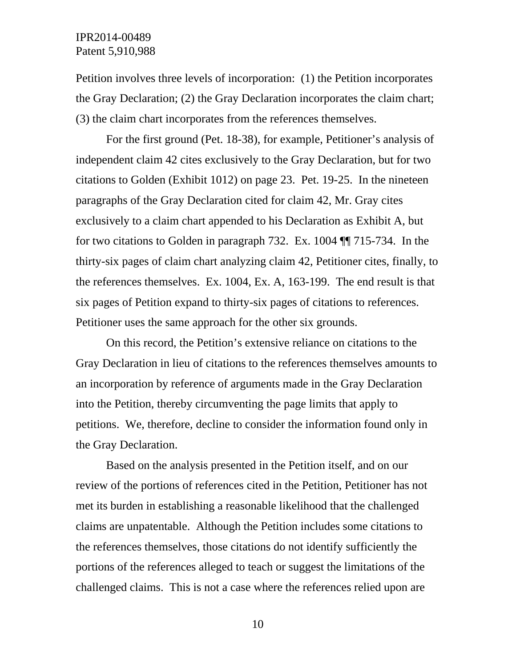# IPR2014-00489 Patent 5,910,988

Petition involves three levels of incorporation: (1) the Petition incorporates the Gray Declaration; (2) the Gray Declaration incorporates the claim chart; (3) the claim chart incorporates from the references themselves.

For the first ground (Pet. 18-38), for example, Petitioner's analysis of independent claim 42 cites exclusively to the Gray Declaration, but for two citations to Golden (Exhibit 1012) on page 23. Pet. 19-25. In the nineteen paragraphs of the Gray Declaration cited for claim 42, Mr. Gray cites exclusively to a claim chart appended to his Declaration as Exhibit A, but for two citations to Golden in paragraph 732. Ex. 1004 ¶¶ 715-734. In the thirty-six pages of claim chart analyzing claim 42, Petitioner cites, finally, to the references themselves. Ex. 1004, Ex. A, 163-199. The end result is that six pages of Petition expand to thirty-six pages of citations to references. Petitioner uses the same approach for the other six grounds.

On this record, the Petition's extensive reliance on citations to the Gray Declaration in lieu of citations to the references themselves amounts to an incorporation by reference of arguments made in the Gray Declaration into the Petition, thereby circumventing the page limits that apply to petitions. We, therefore, decline to consider the information found only in the Gray Declaration.

Based on the analysis presented in the Petition itself, and on our review of the portions of references cited in the Petition, Petitioner has not met its burden in establishing a reasonable likelihood that the challenged claims are unpatentable. Although the Petition includes some citations to the references themselves, those citations do not identify sufficiently the portions of the references alleged to teach or suggest the limitations of the challenged claims. This is not a case where the references relied upon are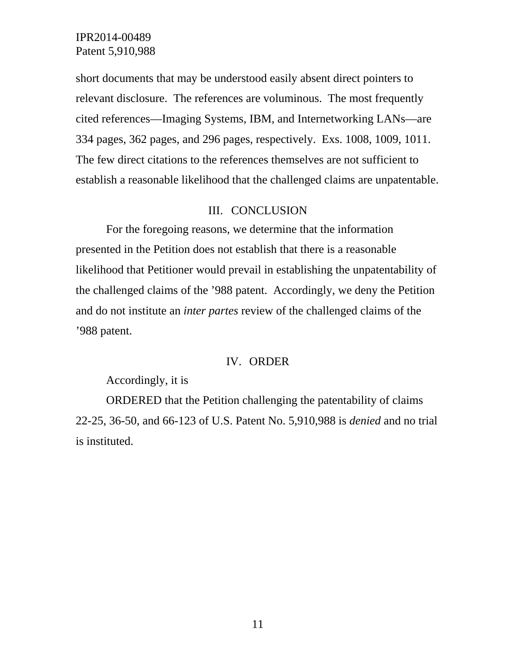# IPR2014-00489 Patent 5,910,988

short documents that may be understood easily absent direct pointers to relevant disclosure. The references are voluminous. The most frequently cited references—Imaging Systems, IBM, and Internetworking LANs—are 334 pages, 362 pages, and 296 pages, respectively. Exs. 1008, 1009, 1011. The few direct citations to the references themselves are not sufficient to establish a reasonable likelihood that the challenged claims are unpatentable.

## III. CONCLUSION

For the foregoing reasons, we determine that the information presented in the Petition does not establish that there is a reasonable likelihood that Petitioner would prevail in establishing the unpatentability of the challenged claims of the '988 patent. Accordingly, we deny the Petition and do not institute an *inter partes* review of the challenged claims of the '988 patent.

### IV. ORDER

## Accordingly, it is

ORDERED that the Petition challenging the patentability of claims 22-25, 36-50, and 66-123 of U.S. Patent No. 5,910,988 is *denied* and no trial is instituted.